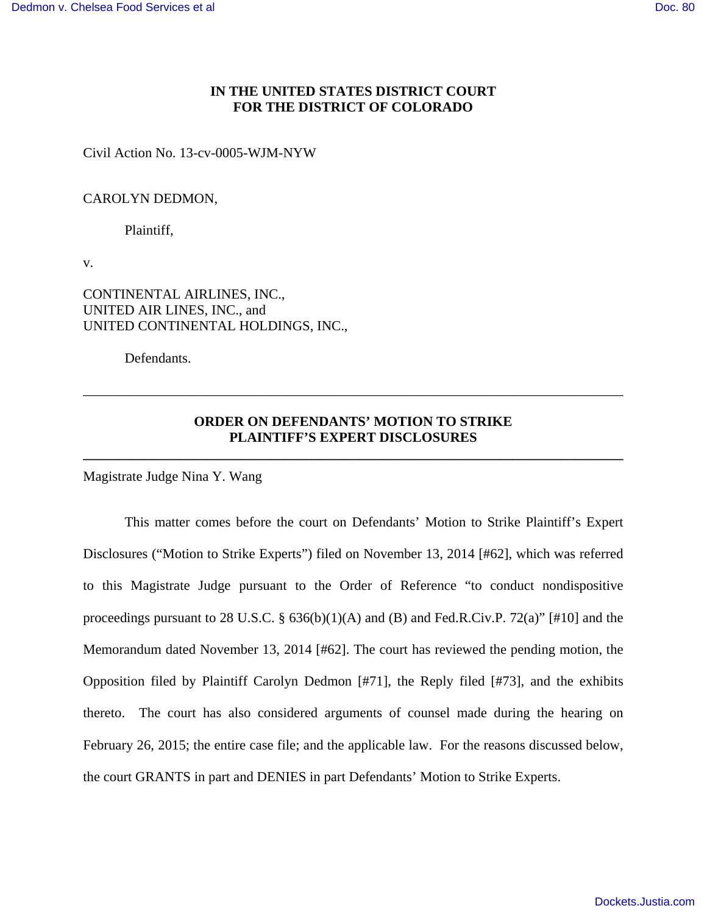## **IN THE UNITED STATES DISTRICT COURT FOR THE DISTRICT OF COLORADO**

Civil Action No. 13-cv-0005-WJM-NYW

## CAROLYN DEDMON,

Plaintiff,

v.

CONTINENTAL AIRLINES, INC., UNITED AIR LINES, INC., and UNITED CONTINENTAL HOLDINGS, INC.,

Defendants.

# **ORDER ON DEFENDANTS' MOTION TO STRIKE PLAINTIFF'S EXPERT DISCLOSURES**

**\_\_\_\_\_\_\_\_\_\_\_\_\_\_\_\_\_\_\_\_\_\_\_\_\_\_\_\_\_\_\_\_\_\_\_\_\_\_\_\_\_\_\_\_\_\_\_\_\_\_\_\_\_\_\_\_\_\_\_\_\_\_\_\_\_\_\_\_\_\_\_\_\_\_\_\_\_\_**

\_\_\_\_\_\_\_\_\_\_\_\_\_\_\_\_\_\_\_\_\_\_\_\_\_\_\_\_\_\_\_\_\_\_\_\_\_\_\_\_\_\_\_\_\_\_\_\_\_\_\_\_\_\_\_\_\_\_\_\_\_\_\_\_\_\_\_\_\_\_\_\_\_\_\_\_\_\_

Magistrate Judge Nina Y. Wang

 This matter comes before the court on Defendants' Motion to Strike Plaintiff's Expert Disclosures ("Motion to Strike Experts") filed on November 13, 2014 [#62], which was referred to this Magistrate Judge pursuant to the Order of Reference "to conduct nondispositive proceedings pursuant to 28 U.S.C.  $\S$  636(b)(1)(A) and (B) and Fed.R.Civ.P. 72(a)" [#10] and the Memorandum dated November 13, 2014 [#62]. The court has reviewed the pending motion, the Opposition filed by Plaintiff Carolyn Dedmon [#71], the Reply filed [#73], and the exhibits thereto. The court has also considered arguments of counsel made during the hearing on February 26, 2015; the entire case file; and the applicable law. For the reasons discussed below, the court GRANTS in part and DENIES in part Defendants' Motion to Strike Experts.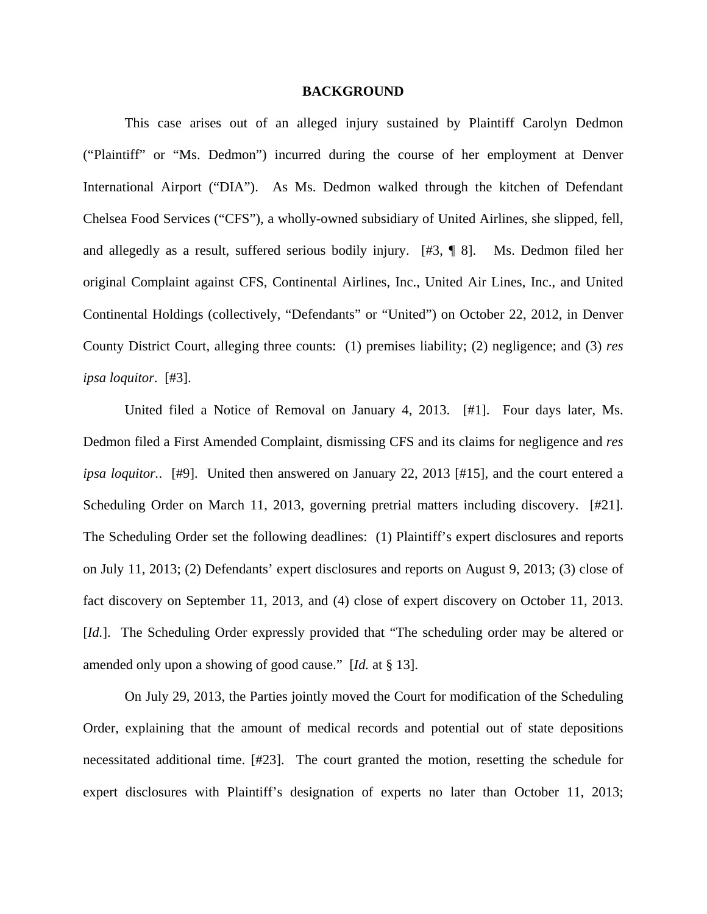### **BACKGROUND**

 This case arises out of an alleged injury sustained by Plaintiff Carolyn Dedmon ("Plaintiff" or "Ms. Dedmon") incurred during the course of her employment at Denver International Airport ("DIA"). As Ms. Dedmon walked through the kitchen of Defendant Chelsea Food Services ("CFS"), a wholly-owned subsidiary of United Airlines, she slipped, fell, and allegedly as a result, suffered serious bodily injury. [#3, ¶ 8]. Ms. Dedmon filed her original Complaint against CFS, Continental Airlines, Inc., United Air Lines, Inc., and United Continental Holdings (collectively, "Defendants" or "United") on October 22, 2012, in Denver County District Court, alleging three counts: (1) premises liability; (2) negligence; and (3) *res ipsa loquitor*. [#3].

 United filed a Notice of Removal on January 4, 2013. [#1]. Four days later, Ms. Dedmon filed a First Amended Complaint, dismissing CFS and its claims for negligence and *res ipsa loquitor.*. [#9]. United then answered on January 22, 2013 [#15], and the court entered a Scheduling Order on March 11, 2013, governing pretrial matters including discovery. [#21]. The Scheduling Order set the following deadlines: (1) Plaintiff's expert disclosures and reports on July 11, 2013; (2) Defendants' expert disclosures and reports on August 9, 2013; (3) close of fact discovery on September 11, 2013, and (4) close of expert discovery on October 11, 2013. [*Id.*]. The Scheduling Order expressly provided that "The scheduling order may be altered or amended only upon a showing of good cause." [*Id.* at § 13].

 On July 29, 2013, the Parties jointly moved the Court for modification of the Scheduling Order, explaining that the amount of medical records and potential out of state depositions necessitated additional time. [#23]. The court granted the motion, resetting the schedule for expert disclosures with Plaintiff's designation of experts no later than October 11, 2013;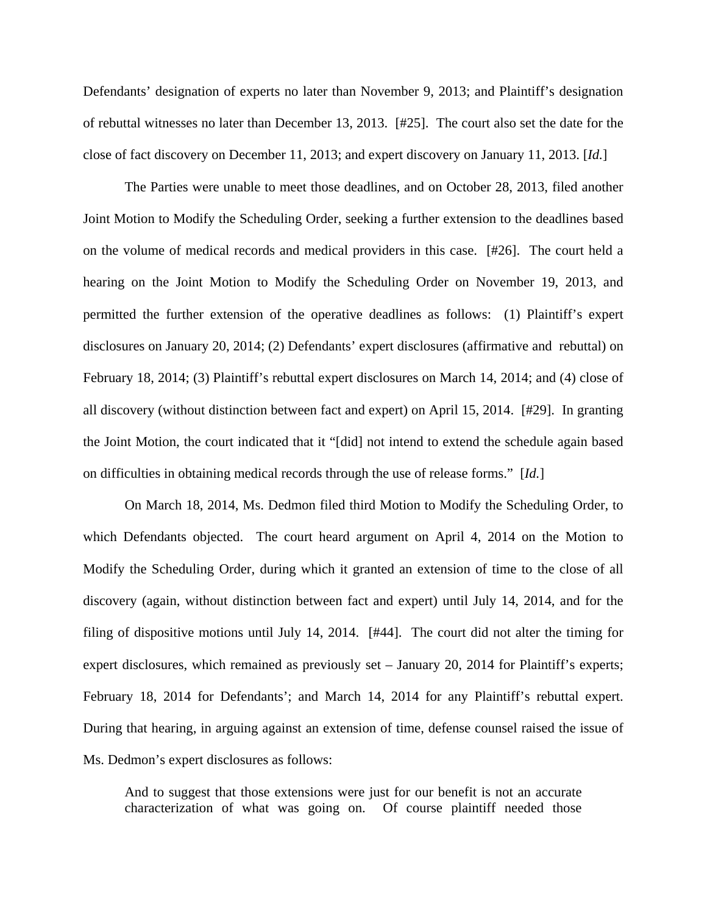Defendants' designation of experts no later than November 9, 2013; and Plaintiff's designation of rebuttal witnesses no later than December 13, 2013. [#25]. The court also set the date for the close of fact discovery on December 11, 2013; and expert discovery on January 11, 2013. [*Id.*]

 The Parties were unable to meet those deadlines, and on October 28, 2013, filed another Joint Motion to Modify the Scheduling Order, seeking a further extension to the deadlines based on the volume of medical records and medical providers in this case. [#26]. The court held a hearing on the Joint Motion to Modify the Scheduling Order on November 19, 2013, and permitted the further extension of the operative deadlines as follows: (1) Plaintiff's expert disclosures on January 20, 2014; (2) Defendants' expert disclosures (affirmative and rebuttal) on February 18, 2014; (3) Plaintiff's rebuttal expert disclosures on March 14, 2014; and (4) close of all discovery (without distinction between fact and expert) on April 15, 2014. [#29]. In granting the Joint Motion, the court indicated that it "[did] not intend to extend the schedule again based on difficulties in obtaining medical records through the use of release forms." [*Id.*]

 On March 18, 2014, Ms. Dedmon filed third Motion to Modify the Scheduling Order, to which Defendants objected. The court heard argument on April 4, 2014 on the Motion to Modify the Scheduling Order, during which it granted an extension of time to the close of all discovery (again, without distinction between fact and expert) until July 14, 2014, and for the filing of dispositive motions until July 14, 2014. [#44]. The court did not alter the timing for expert disclosures, which remained as previously set – January 20, 2014 for Plaintiff's experts; February 18, 2014 for Defendants'; and March 14, 2014 for any Plaintiff's rebuttal expert. During that hearing, in arguing against an extension of time, defense counsel raised the issue of Ms. Dedmon's expert disclosures as follows:

And to suggest that those extensions were just for our benefit is not an accurate characterization of what was going on. Of course plaintiff needed those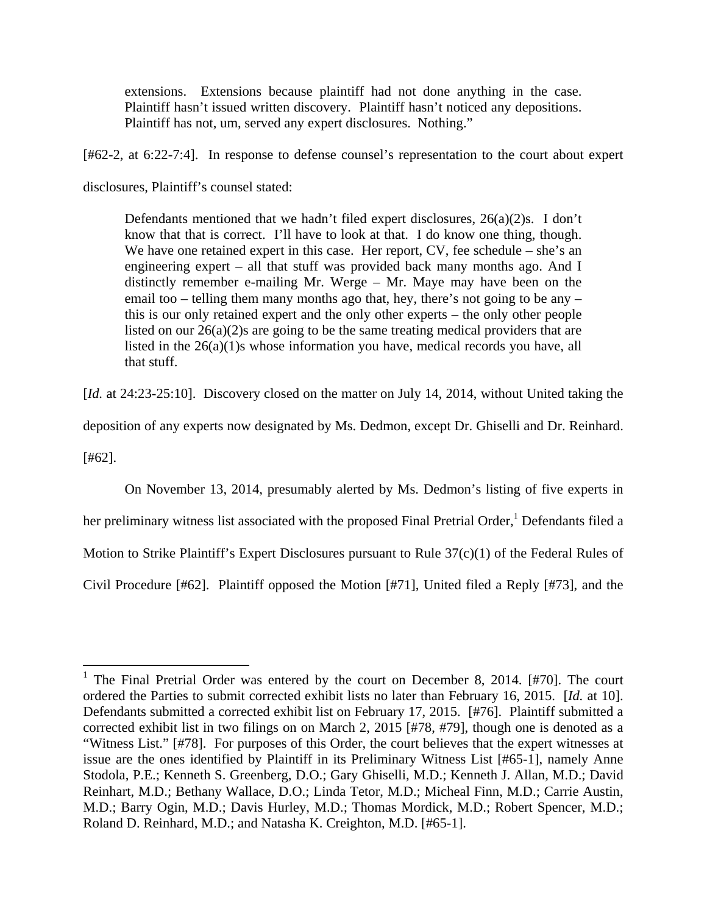extensions. Extensions because plaintiff had not done anything in the case. Plaintiff hasn't issued written discovery. Plaintiff hasn't noticed any depositions. Plaintiff has not, um, served any expert disclosures. Nothing."

[#62-2, at 6:22-7:4]. In response to defense counsel's representation to the court about expert

disclosures, Plaintiff's counsel stated:

Defendants mentioned that we hadn't filed expert disclosures,  $26(a)(2)s$ . I don't know that that is correct. I'll have to look at that. I do know one thing, though. We have one retained expert in this case. Her report, CV, fee schedule – she's an engineering expert – all that stuff was provided back many months ago. And I distinctly remember e-mailing Mr. Werge – Mr. Maye may have been on the email too – telling them many months ago that, hey, there's not going to be any – this is our only retained expert and the only other experts – the only other people listed on our 26(a)(2)s are going to be the same treating medical providers that are listed in the 26(a)(1)s whose information you have, medical records you have, all that stuff.

[*Id.* at 24:23-25:10]. Discovery closed on the matter on July 14, 2014, without United taking the

deposition of any experts now designated by Ms. Dedmon, except Dr. Ghiselli and Dr. Reinhard.

[#62].

 On November 13, 2014, presumably alerted by Ms. Dedmon's listing of five experts in her preliminary witness list associated with the proposed Final Pretrial Order,<sup>1</sup> Defendants filed a Motion to Strike Plaintiff's Expert Disclosures pursuant to Rule 37(c)(1) of the Federal Rules of Civil Procedure [#62]. Plaintiff opposed the Motion [#71], United filed a Reply [#73], and the

<sup>&</sup>lt;sup>1</sup> The Final Pretrial Order was entered by the court on December 8, 2014. [#70]. The court ordered the Parties to submit corrected exhibit lists no later than February 16, 2015. [*Id.* at 10]. Defendants submitted a corrected exhibit list on February 17, 2015. [#76]. Plaintiff submitted a corrected exhibit list in two filings on on March 2, 2015 [#78, #79], though one is denoted as a "Witness List." [#78]. For purposes of this Order, the court believes that the expert witnesses at issue are the ones identified by Plaintiff in its Preliminary Witness List [#65-1], namely Anne Stodola, P.E.; Kenneth S. Greenberg, D.O.; Gary Ghiselli, M.D.; Kenneth J. Allan, M.D.; David Reinhart, M.D.; Bethany Wallace, D.O.; Linda Tetor, M.D.; Micheal Finn, M.D.; Carrie Austin, M.D.; Barry Ogin, M.D.; Davis Hurley, M.D.; Thomas Mordick, M.D.; Robert Spencer, M.D.; Roland D. Reinhard, M.D.; and Natasha K. Creighton, M.D. [#65-1].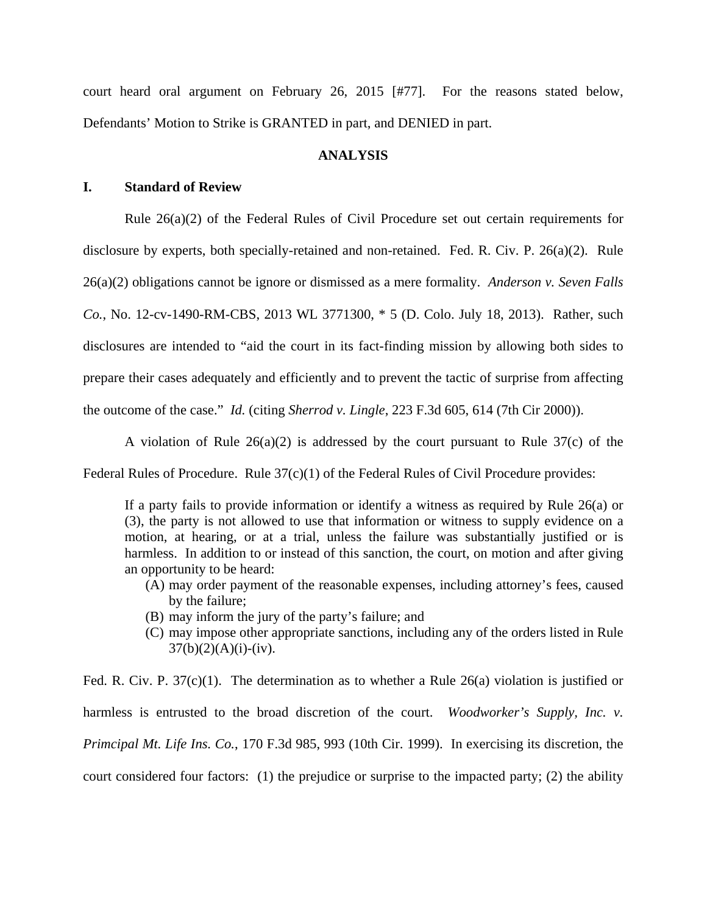court heard oral argument on February 26, 2015 [#77]. For the reasons stated below, Defendants' Motion to Strike is GRANTED in part, and DENIED in part.

# **ANALYSIS**

## **I. Standard of Review**

Rule 26(a)(2) of the Federal Rules of Civil Procedure set out certain requirements for disclosure by experts, both specially-retained and non-retained. Fed. R. Civ. P. 26(a)(2). Rule 26(a)(2) obligations cannot be ignore or dismissed as a mere formality. *Anderson v. Seven Falls Co.*, No. 12-cv-1490-RM-CBS, 2013 WL 3771300, \* 5 (D. Colo. July 18, 2013). Rather, such disclosures are intended to "aid the court in its fact-finding mission by allowing both sides to prepare their cases adequately and efficiently and to prevent the tactic of surprise from affecting the outcome of the case." *Id.* (citing *Sherrod v. Lingle*, 223 F.3d 605, 614 (7th Cir 2000)).

A violation of Rule  $26(a)(2)$  is addressed by the court pursuant to Rule  $37(c)$  of the

Federal Rules of Procedure. Rule 37(c)(1) of the Federal Rules of Civil Procedure provides:

If a party fails to provide information or identify a witness as required by Rule 26(a) or (3), the party is not allowed to use that information or witness to supply evidence on a motion, at hearing, or at a trial, unless the failure was substantially justified or is harmless. In addition to or instead of this sanction, the court, on motion and after giving an opportunity to be heard:

- (A) may order payment of the reasonable expenses, including attorney's fees, caused by the failure;
- (B) may inform the jury of the party's failure; and
- (C) may impose other appropriate sanctions, including any of the orders listed in Rule  $37(b)(2)(A)(i)-(iv).$

Fed. R. Civ. P. 37(c)(1). The determination as to whether a Rule 26(a) violation is justified or harmless is entrusted to the broad discretion of the court. *Woodworker's Supply, Inc. v. Primcipal Mt. Life Ins. Co.*, 170 F.3d 985, 993 (10th Cir. 1999). In exercising its discretion, the court considered four factors: (1) the prejudice or surprise to the impacted party; (2) the ability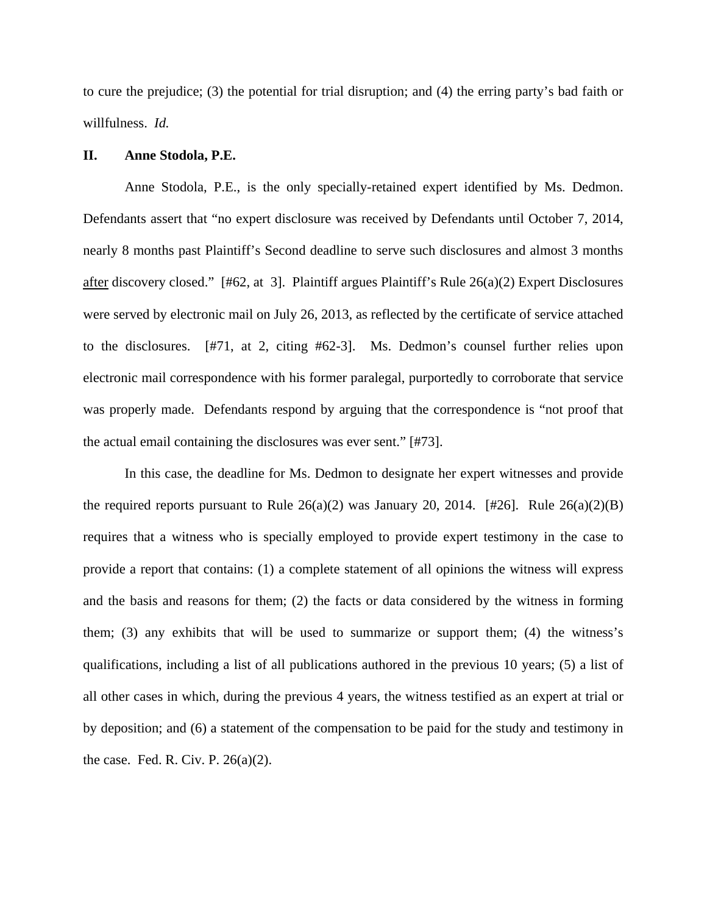to cure the prejudice; (3) the potential for trial disruption; and (4) the erring party's bad faith or willfulness. *Id.*

## **II. Anne Stodola, P.E.**

Anne Stodola, P.E., is the only specially-retained expert identified by Ms. Dedmon. Defendants assert that "no expert disclosure was received by Defendants until October 7, 2014, nearly 8 months past Plaintiff's Second deadline to serve such disclosures and almost 3 months after discovery closed." [#62, at 3]. Plaintiff argues Plaintiff's Rule 26(a)(2) Expert Disclosures were served by electronic mail on July 26, 2013, as reflected by the certificate of service attached to the disclosures. [#71, at 2, citing #62-3]. Ms. Dedmon's counsel further relies upon electronic mail correspondence with his former paralegal, purportedly to corroborate that service was properly made. Defendants respond by arguing that the correspondence is "not proof that the actual email containing the disclosures was ever sent." [#73].

In this case, the deadline for Ms. Dedmon to designate her expert witnesses and provide the required reports pursuant to Rule  $26(a)(2)$  was January 20, 2014. [#26]. Rule  $26(a)(2)(B)$ requires that a witness who is specially employed to provide expert testimony in the case to provide a report that contains: (1) a complete statement of all opinions the witness will express and the basis and reasons for them; (2) the facts or data considered by the witness in forming them; (3) any exhibits that will be used to summarize or support them; (4) the witness's qualifications, including a list of all publications authored in the previous 10 years; (5) a list of all other cases in which, during the previous 4 years, the witness testified as an expert at trial or by deposition; and (6) a statement of the compensation to be paid for the study and testimony in the case. Fed. R. Civ. P.  $26(a)(2)$ .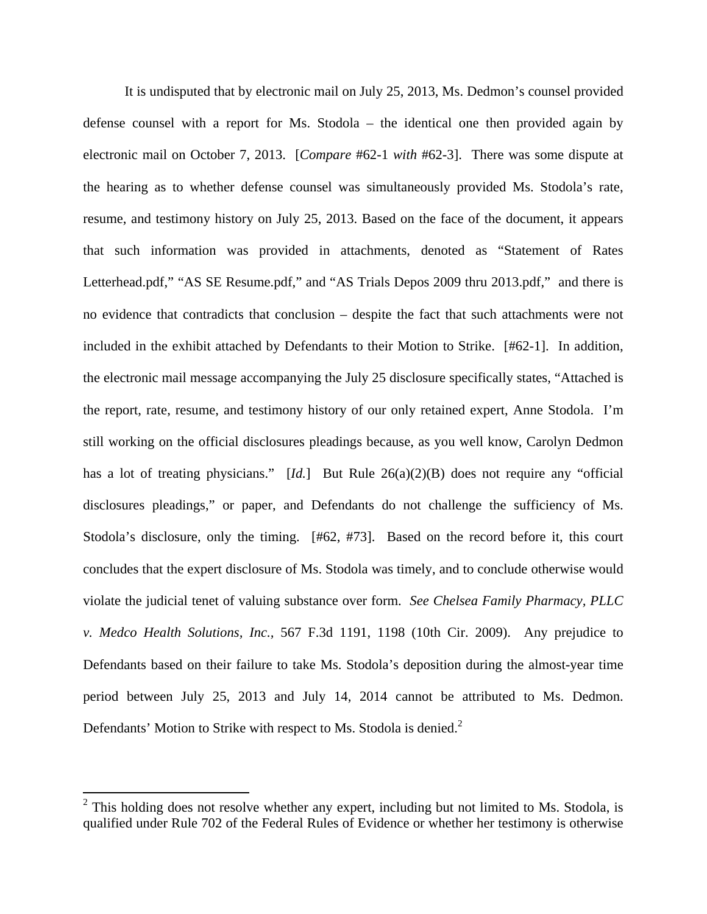It is undisputed that by electronic mail on July 25, 2013, Ms. Dedmon's counsel provided defense counsel with a report for Ms. Stodola – the identical one then provided again by electronic mail on October 7, 2013. [*Compare* #62-1 *with* #62-3]. There was some dispute at the hearing as to whether defense counsel was simultaneously provided Ms. Stodola's rate, resume, and testimony history on July 25, 2013. Based on the face of the document, it appears that such information was provided in attachments, denoted as "Statement of Rates Letterhead.pdf," "AS SE Resume.pdf," and "AS Trials Depos 2009 thru 2013.pdf," and there is no evidence that contradicts that conclusion – despite the fact that such attachments were not included in the exhibit attached by Defendants to their Motion to Strike. [#62-1]. In addition, the electronic mail message accompanying the July 25 disclosure specifically states, "Attached is the report, rate, resume, and testimony history of our only retained expert, Anne Stodola. I'm still working on the official disclosures pleadings because, as you well know, Carolyn Dedmon has a lot of treating physicians." [*Id.*] But Rule 26(a)(2)(B) does not require any "official disclosures pleadings," or paper, and Defendants do not challenge the sufficiency of Ms. Stodola's disclosure, only the timing. [#62, #73]. Based on the record before it, this court concludes that the expert disclosure of Ms. Stodola was timely, and to conclude otherwise would violate the judicial tenet of valuing substance over form. *See Chelsea Family Pharmacy, PLLC v. Medco Health Solutions, Inc.,* 567 F.3d 1191, 1198 (10th Cir. 2009). Any prejudice to Defendants based on their failure to take Ms. Stodola's deposition during the almost-year time period between July 25, 2013 and July 14, 2014 cannot be attributed to Ms. Dedmon. Defendants' Motion to Strike with respect to Ms. Stodola is denied.<sup>2</sup>

 $2$  This holding does not resolve whether any expert, including but not limited to Ms. Stodola, is qualified under Rule 702 of the Federal Rules of Evidence or whether her testimony is otherwise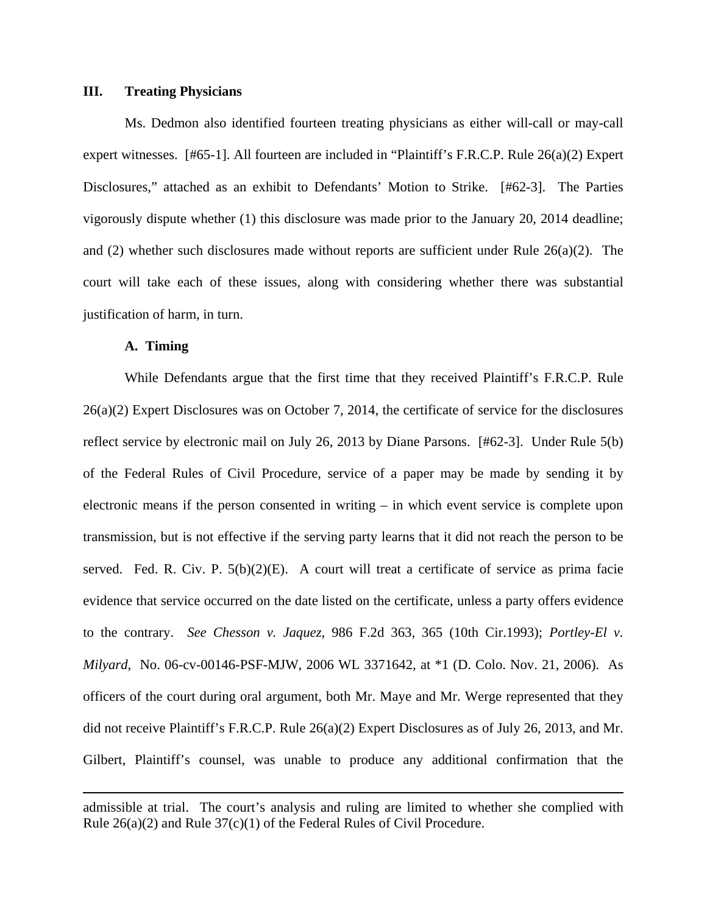### **III. Treating Physicians**

Ms. Dedmon also identified fourteen treating physicians as either will-call or may-call expert witnesses. [#65-1]. All fourteen are included in "Plaintiff's F.R.C.P. Rule 26(a)(2) Expert Disclosures," attached as an exhibit to Defendants' Motion to Strike. [#62-3]. The Parties vigorously dispute whether (1) this disclosure was made prior to the January 20, 2014 deadline; and (2) whether such disclosures made without reports are sufficient under Rule  $26(a)(2)$ . The court will take each of these issues, along with considering whether there was substantial justification of harm, in turn.

## **A. Timing**

While Defendants argue that the first time that they received Plaintiff's F.R.C.P. Rule 26(a)(2) Expert Disclosures was on October 7, 2014, the certificate of service for the disclosures reflect service by electronic mail on July 26, 2013 by Diane Parsons. [#62-3]. Under Rule 5(b) of the Federal Rules of Civil Procedure, service of a paper may be made by sending it by electronic means if the person consented in writing – in which event service is complete upon transmission, but is not effective if the serving party learns that it did not reach the person to be served. Fed. R. Civ. P.  $5(b)(2)(E)$ . A court will treat a certificate of service as prima facie evidence that service occurred on the date listed on the certificate, unless a party offers evidence to the contrary. *See Chesson v. Jaquez*, 986 F.2d 363, 365 (10th Cir.1993); *Portley-El v. Milyard*, No. 06-cv-00146-PSF-MJW, 2006 WL 3371642, at \*1 (D. Colo. Nov. 21, 2006). As officers of the court during oral argument, both Mr. Maye and Mr. Werge represented that they did not receive Plaintiff's F.R.C.P. Rule 26(a)(2) Expert Disclosures as of July 26, 2013, and Mr. Gilbert, Plaintiff's counsel, was unable to produce any additional confirmation that the

<u> 1989 - Johann Stoff, fransk politik (d. 1989)</u>

admissible at trial. The court's analysis and ruling are limited to whether she complied with Rule 26(a)(2) and Rule 37(c)(1) of the Federal Rules of Civil Procedure.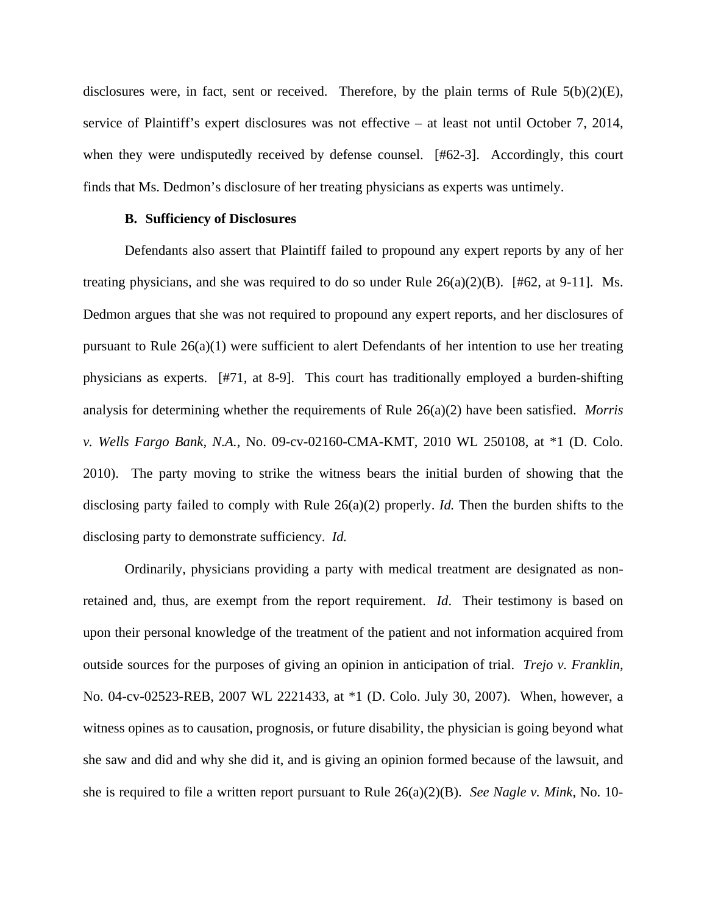disclosures were, in fact, sent or received. Therefore, by the plain terms of Rule 5(b)(2)(E), service of Plaintiff's expert disclosures was not effective – at least not until October 7, 2014, when they were undisputedly received by defense counsel. [#62-3]. Accordingly, this court finds that Ms. Dedmon's disclosure of her treating physicians as experts was untimely.

## **B. Sufficiency of Disclosures**

Defendants also assert that Plaintiff failed to propound any expert reports by any of her treating physicians, and she was required to do so under Rule  $26(a)(2)(B)$ . [#62, at 9-11]. Ms. Dedmon argues that she was not required to propound any expert reports, and her disclosures of pursuant to Rule 26(a)(1) were sufficient to alert Defendants of her intention to use her treating physicians as experts. [#71, at 8-9]. This court has traditionally employed a burden-shifting analysis for determining whether the requirements of Rule 26(a)(2) have been satisfied. *Morris v. Wells Fargo Bank, N.A.*, No. 09-cv-02160-CMA-KMT, 2010 WL 250108, at \*1 (D. Colo. 2010). The party moving to strike the witness bears the initial burden of showing that the disclosing party failed to comply with Rule 26(a)(2) properly. *Id.* Then the burden shifts to the disclosing party to demonstrate sufficiency. *Id.*

Ordinarily, physicians providing a party with medical treatment are designated as nonretained and, thus, are exempt from the report requirement. *Id*. Their testimony is based on upon their personal knowledge of the treatment of the patient and not information acquired from outside sources for the purposes of giving an opinion in anticipation of trial. *Trejo v. Franklin,* No. 04-cv-02523-REB, 2007 WL 2221433, at \*1 (D. Colo. July 30, 2007). When, however, a witness opines as to causation, prognosis, or future disability, the physician is going beyond what she saw and did and why she did it, and is giving an opinion formed because of the lawsuit, and she is required to file a written report pursuant to Rule 26(a)(2)(B). *See Nagle v. Mink*, No. 10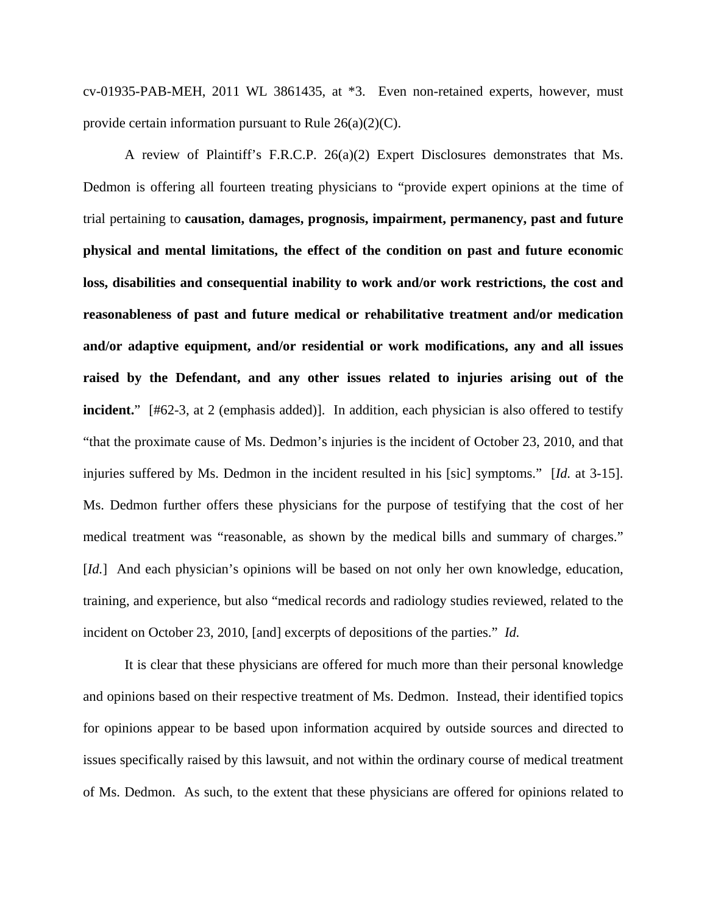cv-01935-PAB-MEH, 2011 WL 3861435, at \*3. Even non-retained experts, however, must provide certain information pursuant to Rule 26(a)(2)(C).

A review of Plaintiff's F.R.C.P. 26(a)(2) Expert Disclosures demonstrates that Ms. Dedmon is offering all fourteen treating physicians to "provide expert opinions at the time of trial pertaining to **causation, damages, prognosis, impairment, permanency, past and future physical and mental limitations, the effect of the condition on past and future economic loss, disabilities and consequential inability to work and/or work restrictions, the cost and reasonableness of past and future medical or rehabilitative treatment and/or medication and/or adaptive equipment, and/or residential or work modifications, any and all issues raised by the Defendant, and any other issues related to injuries arising out of the incident.**" [#62-3, at 2 (emphasis added)]. In addition, each physician is also offered to testify "that the proximate cause of Ms. Dedmon's injuries is the incident of October 23, 2010, and that injuries suffered by Ms. Dedmon in the incident resulted in his [sic] symptoms." [*Id.* at 3-15]. Ms. Dedmon further offers these physicians for the purpose of testifying that the cost of her medical treatment was "reasonable, as shown by the medical bills and summary of charges." [*Id.*] And each physician's opinions will be based on not only her own knowledge, education, training, and experience, but also "medical records and radiology studies reviewed, related to the incident on October 23, 2010, [and] excerpts of depositions of the parties." *Id.*

It is clear that these physicians are offered for much more than their personal knowledge and opinions based on their respective treatment of Ms. Dedmon. Instead, their identified topics for opinions appear to be based upon information acquired by outside sources and directed to issues specifically raised by this lawsuit, and not within the ordinary course of medical treatment of Ms. Dedmon. As such, to the extent that these physicians are offered for opinions related to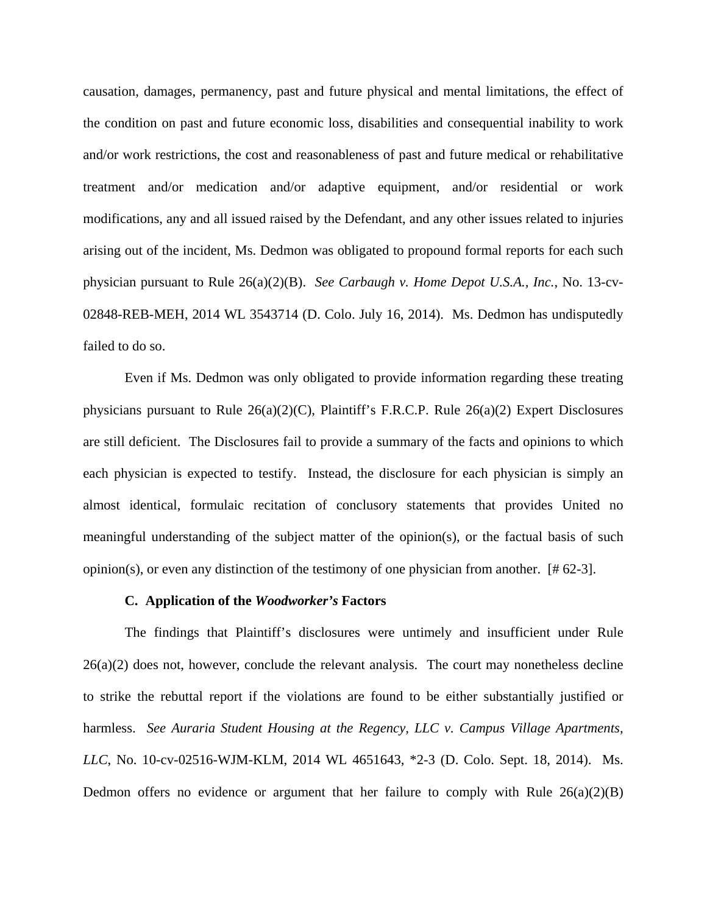causation, damages, permanency, past and future physical and mental limitations, the effect of the condition on past and future economic loss, disabilities and consequential inability to work and/or work restrictions, the cost and reasonableness of past and future medical or rehabilitative treatment and/or medication and/or adaptive equipment, and/or residential or work modifications, any and all issued raised by the Defendant, and any other issues related to injuries arising out of the incident, Ms. Dedmon was obligated to propound formal reports for each such physician pursuant to Rule 26(a)(2)(B). *See Carbaugh v. Home Depot U.S.A., Inc.*, No. 13-cv-02848-REB-MEH, 2014 WL 3543714 (D. Colo. July 16, 2014). Ms. Dedmon has undisputedly failed to do so.

Even if Ms. Dedmon was only obligated to provide information regarding these treating physicians pursuant to Rule 26(a)(2)(C), Plaintiff's F.R.C.P. Rule 26(a)(2) Expert Disclosures are still deficient. The Disclosures fail to provide a summary of the facts and opinions to which each physician is expected to testify. Instead, the disclosure for each physician is simply an almost identical, formulaic recitation of conclusory statements that provides United no meaningful understanding of the subject matter of the opinion(s), or the factual basis of such opinion(s), or even any distinction of the testimony of one physician from another. [# 62-3].

### **C. Application of the** *Woodworker's* **Factors**

The findings that Plaintiff's disclosures were untimely and insufficient under Rule  $26(a)(2)$  does not, however, conclude the relevant analysis. The court may nonetheless decline to strike the rebuttal report if the violations are found to be either substantially justified or harmless. *See Auraria Student Housing at the Regency, LLC v. Campus Village Apartments, LLC*, No. 10-cv-02516-WJM-KLM, 2014 WL 4651643, \*2-3 (D. Colo. Sept. 18, 2014). Ms. Dedmon offers no evidence or argument that her failure to comply with Rule  $26(a)(2)(B)$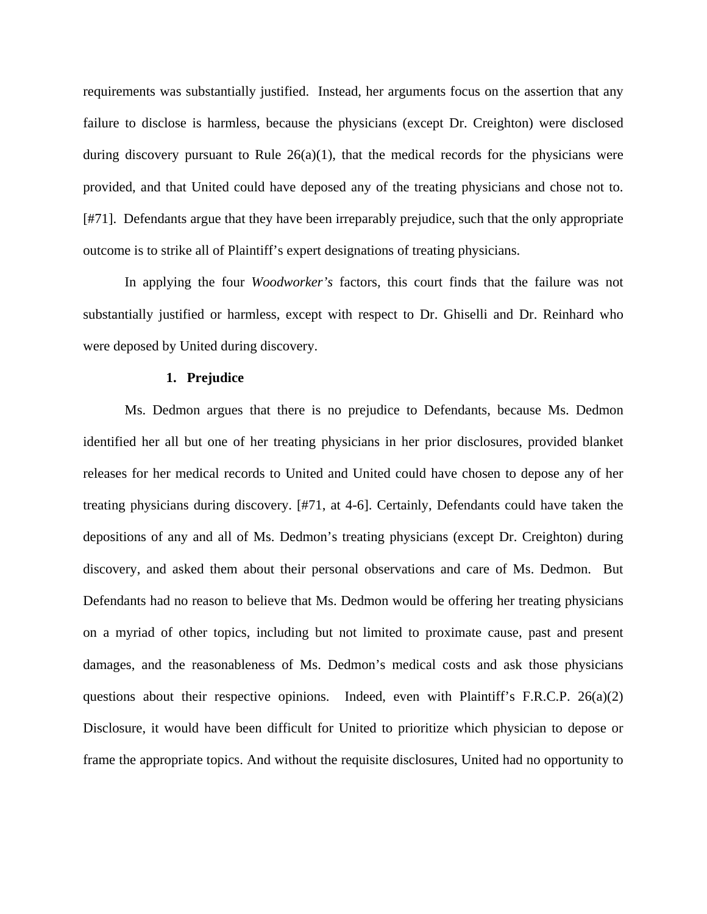requirements was substantially justified. Instead, her arguments focus on the assertion that any failure to disclose is harmless, because the physicians (except Dr. Creighton) were disclosed during discovery pursuant to Rule  $26(a)(1)$ , that the medical records for the physicians were provided, and that United could have deposed any of the treating physicians and chose not to. [#71]. Defendants argue that they have been irreparably prejudice, such that the only appropriate outcome is to strike all of Plaintiff's expert designations of treating physicians.

In applying the four *Woodworker's* factors, this court finds that the failure was not substantially justified or harmless, except with respect to Dr. Ghiselli and Dr. Reinhard who were deposed by United during discovery.

## **1. Prejudice**

Ms. Dedmon argues that there is no prejudice to Defendants, because Ms. Dedmon identified her all but one of her treating physicians in her prior disclosures, provided blanket releases for her medical records to United and United could have chosen to depose any of her treating physicians during discovery. [#71, at 4-6]. Certainly, Defendants could have taken the depositions of any and all of Ms. Dedmon's treating physicians (except Dr. Creighton) during discovery, and asked them about their personal observations and care of Ms. Dedmon. But Defendants had no reason to believe that Ms. Dedmon would be offering her treating physicians on a myriad of other topics, including but not limited to proximate cause, past and present damages, and the reasonableness of Ms. Dedmon's medical costs and ask those physicians questions about their respective opinions. Indeed, even with Plaintiff's F.R.C.P.  $26(a)(2)$ Disclosure, it would have been difficult for United to prioritize which physician to depose or frame the appropriate topics. And without the requisite disclosures, United had no opportunity to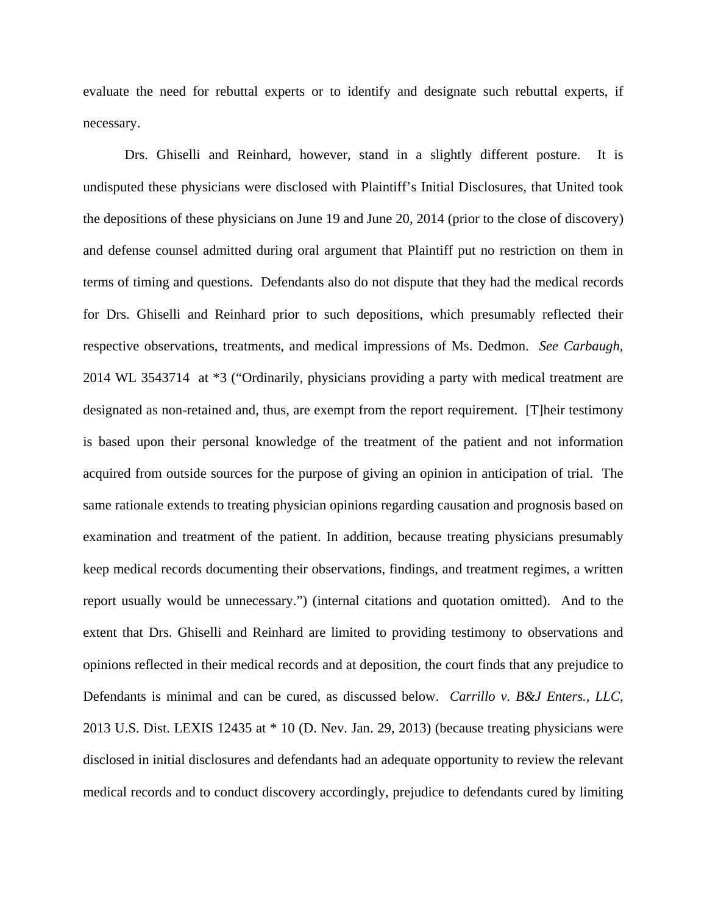evaluate the need for rebuttal experts or to identify and designate such rebuttal experts, if necessary.

Drs. Ghiselli and Reinhard, however, stand in a slightly different posture. It is undisputed these physicians were disclosed with Plaintiff's Initial Disclosures, that United took the depositions of these physicians on June 19 and June 20, 2014 (prior to the close of discovery) and defense counsel admitted during oral argument that Plaintiff put no restriction on them in terms of timing and questions. Defendants also do not dispute that they had the medical records for Drs. Ghiselli and Reinhard prior to such depositions, which presumably reflected their respective observations, treatments, and medical impressions of Ms. Dedmon. *See Carbaugh*, 2014 WL 3543714 at \*3 ("Ordinarily, physicians providing a party with medical treatment are designated as non-retained and, thus, are exempt from the report requirement. [T]heir testimony is based upon their personal knowledge of the treatment of the patient and not information acquired from outside sources for the purpose of giving an opinion in anticipation of trial. The same rationale extends to treating physician opinions regarding causation and prognosis based on examination and treatment of the patient. In addition, because treating physicians presumably keep medical records documenting their observations, findings, and treatment regimes, a written report usually would be unnecessary.") (internal citations and quotation omitted). And to the extent that Drs. Ghiselli and Reinhard are limited to providing testimony to observations and opinions reflected in their medical records and at deposition, the court finds that any prejudice to Defendants is minimal and can be cured, as discussed below. *Carrillo v. B&J Enters., LLC*, 2013 U.S. Dist. LEXIS 12435 at \* 10 (D. Nev. Jan. 29, 2013) (because treating physicians were disclosed in initial disclosures and defendants had an adequate opportunity to review the relevant medical records and to conduct discovery accordingly, prejudice to defendants cured by limiting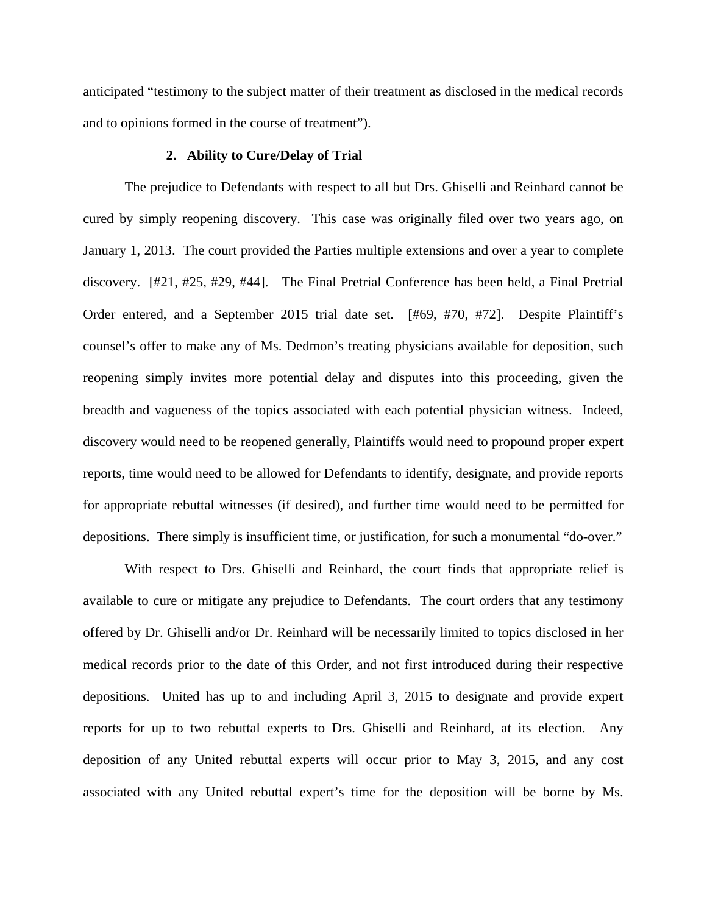anticipated "testimony to the subject matter of their treatment as disclosed in the medical records and to opinions formed in the course of treatment").

## **2. Ability to Cure/Delay of Trial**

The prejudice to Defendants with respect to all but Drs. Ghiselli and Reinhard cannot be cured by simply reopening discovery. This case was originally filed over two years ago, on January 1, 2013. The court provided the Parties multiple extensions and over a year to complete discovery. [#21, #25, #29, #44]. The Final Pretrial Conference has been held, a Final Pretrial Order entered, and a September 2015 trial date set. [#69, #70, #72]. Despite Plaintiff's counsel's offer to make any of Ms. Dedmon's treating physicians available for deposition, such reopening simply invites more potential delay and disputes into this proceeding, given the breadth and vagueness of the topics associated with each potential physician witness. Indeed, discovery would need to be reopened generally, Plaintiffs would need to propound proper expert reports, time would need to be allowed for Defendants to identify, designate, and provide reports for appropriate rebuttal witnesses (if desired), and further time would need to be permitted for depositions. There simply is insufficient time, or justification, for such a monumental "do-over."

With respect to Drs. Ghiselli and Reinhard, the court finds that appropriate relief is available to cure or mitigate any prejudice to Defendants. The court orders that any testimony offered by Dr. Ghiselli and/or Dr. Reinhard will be necessarily limited to topics disclosed in her medical records prior to the date of this Order, and not first introduced during their respective depositions. United has up to and including April 3, 2015 to designate and provide expert reports for up to two rebuttal experts to Drs. Ghiselli and Reinhard, at its election. Any deposition of any United rebuttal experts will occur prior to May 3, 2015, and any cost associated with any United rebuttal expert's time for the deposition will be borne by Ms.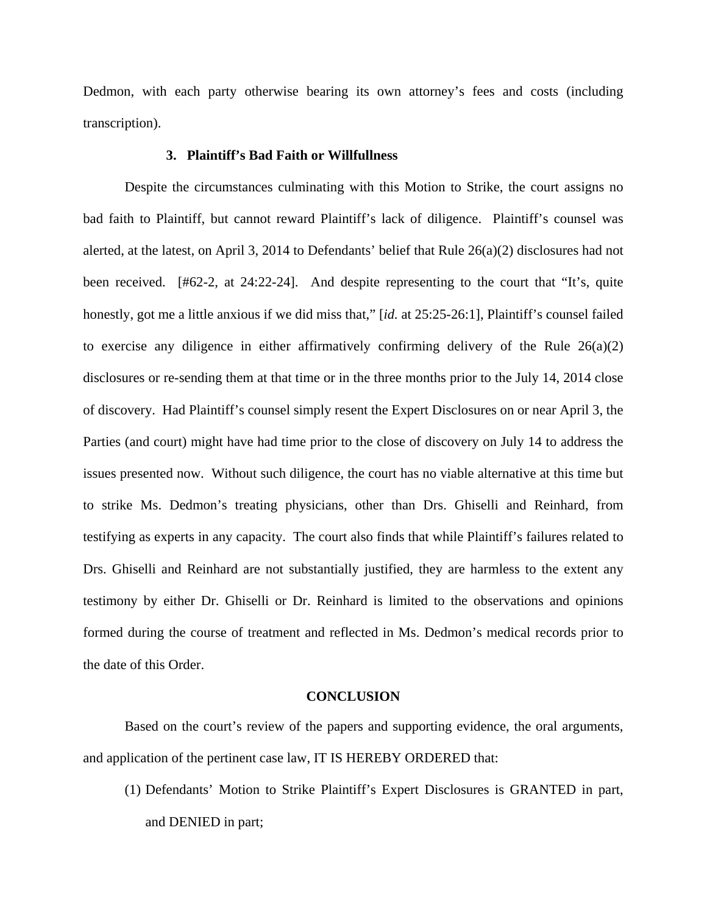Dedmon, with each party otherwise bearing its own attorney's fees and costs (including transcription).

# **3. Plaintiff's Bad Faith or Willfullness**

 Despite the circumstances culminating with this Motion to Strike, the court assigns no bad faith to Plaintiff, but cannot reward Plaintiff's lack of diligence. Plaintiff's counsel was alerted, at the latest, on April 3, 2014 to Defendants' belief that Rule 26(a)(2) disclosures had not been received. [#62-2, at 24:22-24]. And despite representing to the court that "It's, quite honestly, got me a little anxious if we did miss that," [*id.* at 25:25-26:1], Plaintiff's counsel failed to exercise any diligence in either affirmatively confirming delivery of the Rule  $26(a)(2)$ disclosures or re-sending them at that time or in the three months prior to the July 14, 2014 close of discovery. Had Plaintiff's counsel simply resent the Expert Disclosures on or near April 3, the Parties (and court) might have had time prior to the close of discovery on July 14 to address the issues presented now. Without such diligence, the court has no viable alternative at this time but to strike Ms. Dedmon's treating physicians, other than Drs. Ghiselli and Reinhard, from testifying as experts in any capacity. The court also finds that while Plaintiff's failures related to Drs. Ghiselli and Reinhard are not substantially justified, they are harmless to the extent any testimony by either Dr. Ghiselli or Dr. Reinhard is limited to the observations and opinions formed during the course of treatment and reflected in Ms. Dedmon's medical records prior to the date of this Order.

## **CONCLUSION**

 Based on the court's review of the papers and supporting evidence, the oral arguments, and application of the pertinent case law, IT IS HEREBY ORDERED that:

(1) Defendants' Motion to Strike Plaintiff's Expert Disclosures is GRANTED in part, and DENIED in part;